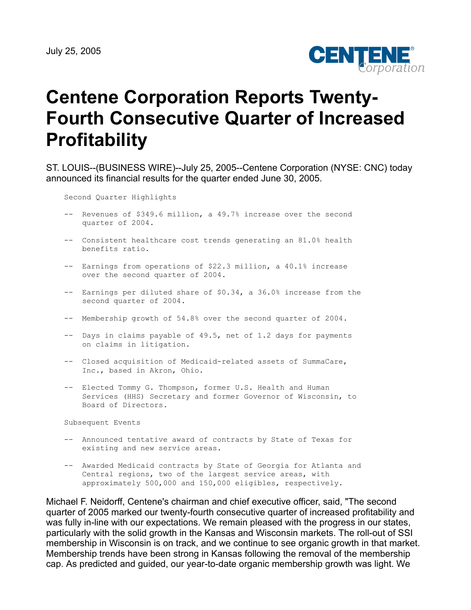

# **Centene Corporation Reports Twenty-Fourth Consecutive Quarter of Increased Profitability**

ST. LOUIS--(BUSINESS WIRE)--July 25, 2005--Centene Corporation (NYSE: CNC) today announced its financial results for the quarter ended June 30, 2005.

Second Quarter Highlights

- -- Revenues of \$349.6 million, a 49.7% increase over the second quarter of 2004.
- -- Consistent healthcare cost trends generating an 81.0% health benefits ratio.
- -- Earnings from operations of \$22.3 million, a 40.1% increase over the second quarter of 2004.
- -- Earnings per diluted share of \$0.34, a 36.0% increase from the second quarter of 2004.
- -- Membership growth of 54.8% over the second quarter of 2004.
- -- Days in claims payable of 49.5, net of 1.2 days for payments on claims in litigation.
- -- Closed acquisition of Medicaid-related assets of SummaCare, Inc., based in Akron, Ohio.
- -- Elected Tommy G. Thompson, former U.S. Health and Human Services (HHS) Secretary and former Governor of Wisconsin, to Board of Directors.

Subsequent Events

- -- Announced tentative award of contracts by State of Texas for existing and new service areas.
- -- Awarded Medicaid contracts by State of Georgia for Atlanta and Central regions, two of the largest service areas, with approximately 500,000 and 150,000 eligibles, respectively.

Michael F. Neidorff, Centene's chairman and chief executive officer, said, "The second quarter of 2005 marked our twenty-fourth consecutive quarter of increased profitability and was fully in-line with our expectations. We remain pleased with the progress in our states, particularly with the solid growth in the Kansas and Wisconsin markets. The roll-out of SSI membership in Wisconsin is on track, and we continue to see organic growth in that market. Membership trends have been strong in Kansas following the removal of the membership cap. As predicted and guided, our year-to-date organic membership growth was light. We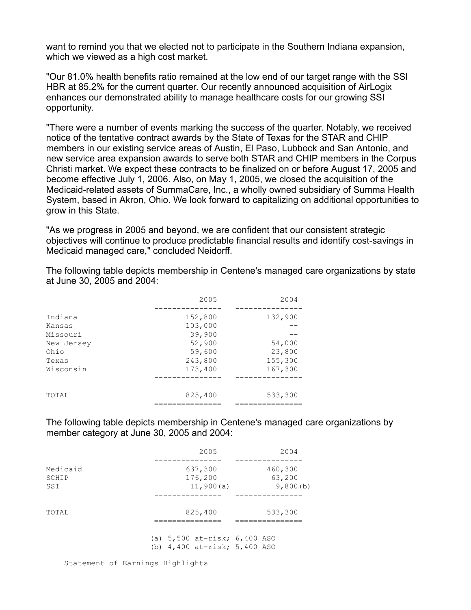want to remind you that we elected not to participate in the Southern Indiana expansion, which we viewed as a high cost market.

"Our 81.0% health benefits ratio remained at the low end of our target range with the SSI HBR at 85.2% for the current quarter. Our recently announced acquisition of AirLogix enhances our demonstrated ability to manage healthcare costs for our growing SSI opportunity.

"There were a number of events marking the success of the quarter. Notably, we received notice of the tentative contract awards by the State of Texas for the STAR and CHIP members in our existing service areas of Austin, El Paso, Lubbock and San Antonio, and new service area expansion awards to serve both STAR and CHIP members in the Corpus Christi market. We expect these contracts to be finalized on or before August 17, 2005 and become effective July 1, 2006. Also, on May 1, 2005, we closed the acquisition of the Medicaid-related assets of SummaCare, Inc., a wholly owned subsidiary of Summa Health System, based in Akron, Ohio. We look forward to capitalizing on additional opportunities to grow in this State.

"As we progress in 2005 and beyond, we are confident that our consistent strategic objectives will continue to produce predictable financial results and identify cost-savings in Medicaid managed care," concluded Neidorff.

The following table depicts membership in Centene's managed care organizations by state at June 30, 2005 and 2004:

|            | 2005    | 2004    |
|------------|---------|---------|
| Indiana    | 152,800 | 132,900 |
| Kansas     | 103,000 |         |
| Missouri   | 39,900  |         |
| New Jersey | 52,900  | 54,000  |
| Ohio       | 59,600  | 23,800  |
| Texas      | 243,800 | 155,300 |
| Wisconsin  | 173,400 | 167,300 |
|            |         |         |
| TOTAL      | 825,400 | 533,300 |
|            |         |         |

The following table depicts membership in Centene's managed care organizations by member category at June 30, 2005 and 2004:

|                          | 2005                                                                 | 2004                          |
|--------------------------|----------------------------------------------------------------------|-------------------------------|
| Medicaid<br>SCHIP<br>SSI | 637,300<br>176,200<br>11,900(a)                                      | 460,300<br>63,200<br>9,800(b) |
| TOTAL                    | 825,400                                                              | 533,300                       |
|                          | (a) $5,500$ at-risk; $6,400$ ASO<br>(b) $4,400$ at-risk; $5,400$ ASO |                               |

Statement of Earnings Highlights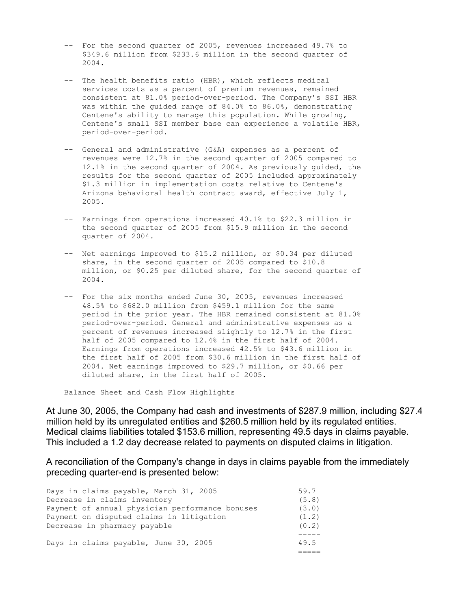- -- For the second quarter of 2005, revenues increased 49.7% to \$349.6 million from \$233.6 million in the second quarter of 2004.
- -- The health benefits ratio (HBR), which reflects medical services costs as a percent of premium revenues, remained consistent at 81.0% period-over-period. The Company's SSI HBR was within the guided range of 84.0% to 86.0%, demonstrating Centene's ability to manage this population. While growing, Centene's small SSI member base can experience a volatile HBR, period-over-period.
- -- General and administrative (G&A) expenses as a percent of revenues were 12.7% in the second quarter of 2005 compared to 12.1% in the second quarter of 2004. As previously guided, the results for the second quarter of 2005 included approximately \$1.3 million in implementation costs relative to Centene's Arizona behavioral health contract award, effective July 1, 2005.
- -- Earnings from operations increased 40.1% to \$22.3 million in the second quarter of 2005 from \$15.9 million in the second quarter of 2004.
- -- Net earnings improved to \$15.2 million, or \$0.34 per diluted share, in the second quarter of 2005 compared to \$10.8 million, or \$0.25 per diluted share, for the second quarter of 2004.
- -- For the six months ended June 30, 2005, revenues increased 48.5% to \$682.0 million from \$459.1 million for the same period in the prior year. The HBR remained consistent at 81.0% period-over-period. General and administrative expenses as a percent of revenues increased slightly to 12.7% in the first half of 2005 compared to 12.4% in the first half of 2004. Earnings from operations increased 42.5% to \$43.6 million in the first half of 2005 from \$30.6 million in the first half of 2004. Net earnings improved to \$29.7 million, or \$0.66 per diluted share, in the first half of 2005.

Balance Sheet and Cash Flow Highlights

At June 30, 2005, the Company had cash and investments of \$287.9 million, including \$27.4 million held by its unregulated entities and \$260.5 million held by its regulated entities. Medical claims liabilities totaled \$153.6 million, representing 49.5 days in claims payable. This included a 1.2 day decrease related to payments on disputed claims in litigation.

A reconciliation of the Company's change in days in claims payable from the immediately preceding quarter-end is presented below:

| Days in claims payable, March 31, 2005          | 59.7   |
|-------------------------------------------------|--------|
| Decrease in claims inventory                    | (5.8)  |
| Payment of annual physician performance bonuses | (3.0)  |
| Payment on disputed claims in litigation        | (1, 2) |
| Decrease in pharmacy payable                    | (0, 2) |
|                                                 |        |
| Days in claims payable, June 30, 2005           | 49.5   |
|                                                 |        |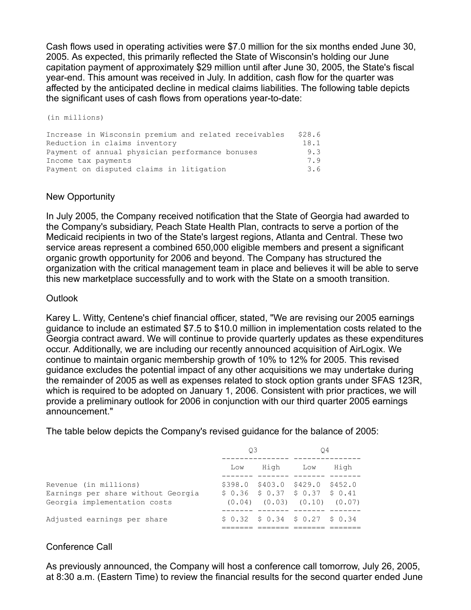Cash flows used in operating activities were \$7.0 million for the six months ended June 30, 2005. As expected, this primarily reflected the State of Wisconsin's holding our June capitation payment of approximately \$29 million until after June 30, 2005, the State's fiscal year-end. This amount was received in July. In addition, cash flow for the quarter was affected by the anticipated decline in medical claims liabilities. The following table depicts the significant uses of cash flows from operations year-to-date:

(in millions)

Increase in Wisconsin premium and related receivables \$28.6<br>Reduction in claims inventory 18.1 Reduction in claims inventory Payment of annual physician performance bonuses 9.3 Income tax payments 7.9 Payment on disputed claims in litigation 3.6

# New Opportunity

In July 2005, the Company received notification that the State of Georgia had awarded to the Company's subsidiary, Peach State Health Plan, contracts to serve a portion of the Medicaid recipients in two of the State's largest regions, Atlanta and Central. These two service areas represent a combined 650,000 eligible members and present a significant organic growth opportunity for 2006 and beyond. The Company has structured the organization with the critical management team in place and believes it will be able to serve this new marketplace successfully and to work with the State on a smooth transition.

## **Outlook**

Karey L. Witty, Centene's chief financial officer, stated, "We are revising our 2005 earnings guidance to include an estimated \$7.5 to \$10.0 million in implementation costs related to the Georgia contract award. We will continue to provide quarterly updates as these expenditures occur. Additionally, we are including our recently announced acquisition of AirLogix. We continue to maintain organic membership growth of 10% to 12% for 2005. This revised guidance excludes the potential impact of any other acquisitions we may undertake during the remainder of 2005 as well as expenses related to stock option grants under SFAS 123R, which is required to be adopted on January 1, 2006. Consistent with prior practices, we will provide a preliminary outlook for 2006 in conjunction with our third quarter 2005 earnings announcement."

The table below depicts the Company's revised guidance for the balance of 2005:

|                                                                                             | O3  |  | Ο4                                                                                                           |      |
|---------------------------------------------------------------------------------------------|-----|--|--------------------------------------------------------------------------------------------------------------|------|
|                                                                                             | Low |  | High Low                                                                                                     | High |
| Revenue (in millions)<br>Earnings per share without Georgia<br>Georgia implementation costs |     |  | \$398.0 \$403.0 \$429.0 \$452.0<br>$$0.36$$ $$0.37$$ $$0.37$$ $$0.41$<br>$(0.04)$ $(0.03)$ $(0.10)$ $(0.07)$ |      |
| Adjusted earnings per share                                                                 |     |  | $$0.32$$ $$0.34$$ $$0.27$$ $$0.34$                                                                           |      |

# Conference Call

As previously announced, the Company will host a conference call tomorrow, July 26, 2005, at 8:30 a.m. (Eastern Time) to review the financial results for the second quarter ended June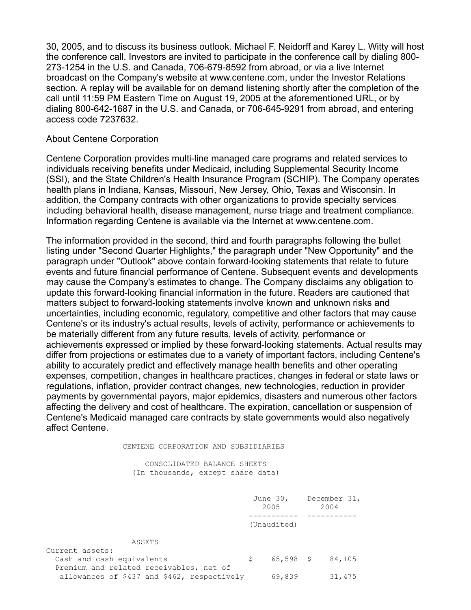30, 2005, and to discuss its business outlook. Michael F. Neidorff and Karey L. Witty will host the conference call. Investors are invited to participate in the conference call by dialing 800- 273-1254 in the U.S. and Canada, 706-679-8592 from abroad, or via a live Internet broadcast on the Company's website at www.centene.com, under the Investor Relations section. A replay will be available for on demand listening shortly after the completion of the call until 11:59 PM Eastern Time on August 19, 2005 at the aforementioned URL, or by dialing 800-642-1687 in the U.S. and Canada, or 706-645-9291 from abroad, and entering access code 7237632.

## About Centene Corporation

Centene Corporation provides multi-line managed care programs and related services to individuals receiving benefits under Medicaid, including Supplemental Security Income (SSI), and the State Children's Health Insurance Program (SCHIP). The Company operates health plans in Indiana, Kansas, Missouri, New Jersey, Ohio, Texas and Wisconsin. In addition, the Company contracts with other organizations to provide specialty services including behavioral health, disease management, nurse triage and treatment compliance. Information regarding Centene is available via the Internet at www.centene.com.

The information provided in the second, third and fourth paragraphs following the bullet listing under "Second Quarter Highlights," the paragraph under "New Opportunity" and the paragraph under "Outlook" above contain forward-looking statements that relate to future events and future financial performance of Centene. Subsequent events and developments may cause the Company's estimates to change. The Company disclaims any obligation to update this forward-looking financial information in the future. Readers are cautioned that matters subject to forward-looking statements involve known and unknown risks and uncertainties, including economic, regulatory, competitive and other factors that may cause Centene's or its industry's actual results, levels of activity, performance or achievements to be materially different from any future results, levels of activity, performance or achievements expressed or implied by these forward-looking statements. Actual results may differ from projections or estimates due to a variety of important factors, including Centene's ability to accurately predict and effectively manage health benefits and other operating expenses, competition, changes in healthcare practices, changes in federal or state laws or regulations, inflation, provider contract changes, new technologies, reduction in provider payments by governmental payors, major epidemics, disasters and numerous other factors affecting the delivery and cost of healthcare. The expiration, cancellation or suspension of Centene's Medicaid managed care contracts by state governments would also negatively affect Centene.

#### CENTENE CORPORATION AND SUBSIDIARIES

 CONSOLIDATED BALANCE SHEETS (In thousands, except share data)

|                                             |   | June $30l$<br>2005 | December 31,<br>2004 |
|---------------------------------------------|---|--------------------|----------------------|
|                                             |   |                    |                      |
|                                             |   | (Unaudited)        |                      |
| ASSETS                                      |   |                    |                      |
| Current assets:                             |   |                    |                      |
| Cash and cash equivalents                   | S | $65,598$ \$        | 84,105               |
| Premium and related receivables, net of     |   |                    |                      |
| allowances of \$437 and \$462, respectively |   | 69,839             | 31,475               |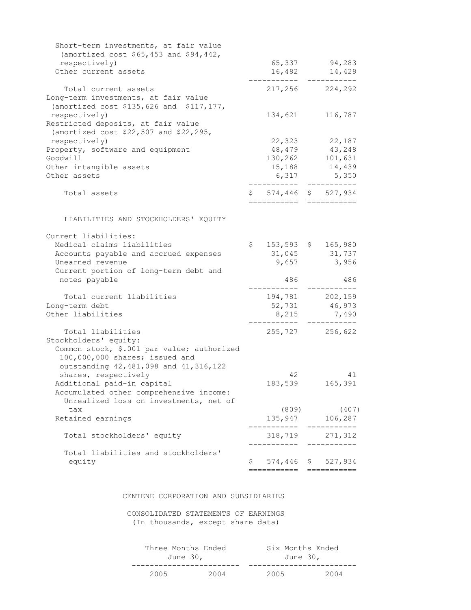| Short-term investments, at fair value      |                                   |                               |
|--------------------------------------------|-----------------------------------|-------------------------------|
| (amortized cost \$65,453 and \$94,442,     |                                   |                               |
| respectively)<br>Other current assets      |                                   | 65,337 94,283                 |
|                                            | 16,482<br>-------                 | 14,429<br>----------          |
| Total current assets                       |                                   | 217,256 224,292               |
| Long-term investments, at fair value       |                                   |                               |
| (amortized cost \$135,626 and \$117,177,   |                                   |                               |
| respectively)                              | 134,621                           | 116,787                       |
| Restricted deposits, at fair value         |                                   |                               |
| (amortized cost \$22,507 and \$22,295,     |                                   |                               |
| respectively)                              |                                   | 22,323 22,187                 |
| Property, software and equipment           | 48,479                            | 43,248                        |
| Goodwill                                   |                                   | 130, 262 101, 631             |
| Other intangible assets                    | 15,188                            | 14,439                        |
| Other assets                               | 6,317                             | 5,350                         |
|                                            |                                   | ---------                     |
| Total assets                               | $$574,446$ \$ 527,934<br>-------- |                               |
|                                            |                                   |                               |
| LIABILITIES AND STOCKHOLDERS' EQUITY       |                                   |                               |
| Current liabilities:                       |                                   |                               |
| Medical claims liabilities                 | \$<br>153,593 \$ 165,980          |                               |
| Accounts payable and accrued expenses      | 31,045                            | 31,737                        |
| Unearned revenue                           | 9,657                             | 3,956                         |
| Current portion of long-term debt and      |                                   |                               |
| notes payable                              | 486                               | 486                           |
| Total current liabilities                  | 194,781                           | 202,159                       |
| Long-term debt                             | 52,731                            | 46,973                        |
| Other liabilities                          | 8,215                             | 7,490                         |
|                                            |                                   |                               |
| Total liabilities                          |                                   | 255,727 256,622               |
| Stockholders' equity:                      |                                   |                               |
| Common stock, \$.001 par value; authorized |                                   |                               |
| 100,000,000 shares; issued and             |                                   |                               |
| outstanding 42, 481, 098 and 41, 316, 122  |                                   |                               |
| shares, respectively                       | 42                                | 41                            |
| Additional paid-in capital                 | 183,539                           | 165,391                       |
| Accumulated other comprehensive income:    |                                   |                               |
| Unrealized loss on investments, net of     |                                   |                               |
| tax                                        | (809)                             | (407)                         |
| Retained earnings                          | _________                         | 135,947 106,287<br>---------- |
| Total stockholders' equity                 | 318,719                           | 271,312                       |
| Total liabilities and stockholders'        | ---------                         | ----------                    |
| equity                                     | \$<br>574,446                     | \$527,934                     |
|                                            | ===========                       | ===========                   |
|                                            |                                   |                               |

### CENTENE CORPORATION AND SUBSIDIARIES

 CONSOLIDATED STATEMENTS OF EARNINGS (In thousands, except share data)

| Three Months Ended |      | Six Months Ended |      |
|--------------------|------|------------------|------|
| June 30,           |      | June 30,         |      |
|                    |      |                  |      |
| 2005               | 2004 | 2005             | 2004 |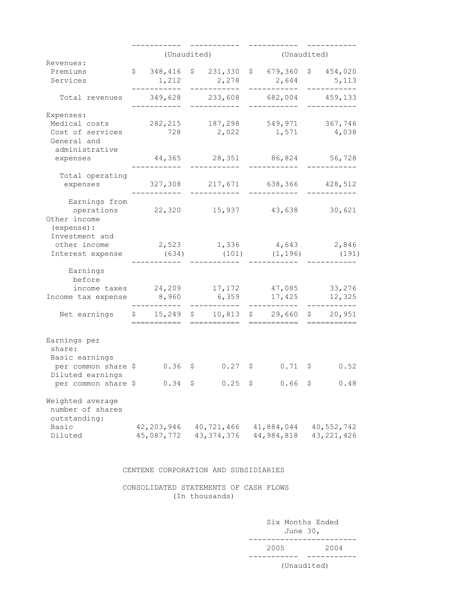|                                                               | (Unaudited)  |                               |              | (Unaudited)         |              |                     |
|---------------------------------------------------------------|--------------|-------------------------------|--------------|---------------------|--------------|---------------------|
| Revenues:                                                     |              |                               |              |                     |              |                     |
| Premiums                                                      | \$348, 416   |                               | \$231,330    | \$679,360           |              | \$ 454,020          |
| Services                                                      | 1,212        |                               | 2,278        | 2,644               |              | 5,113               |
| Total revenues                                                | 349,628      |                               | 233,608      | 682,004             |              | --------<br>459,133 |
| Expenses:                                                     |              |                               |              |                     |              |                     |
| Medical costs                                                 | 282, 215     |                               | 187,298      | 549,971             |              | 367,746             |
| Cost of services<br>General and<br>administrative             | 728          |                               | 2,022        | 1,571               |              | 4,038               |
| expenses                                                      | 44,365       |                               | 28,351       | 86,824              |              | 56,728              |
| Total operating                                               |              |                               |              |                     |              |                     |
| expenses                                                      | 327,308      |                               | 217,671      | 638,366             |              | 428,512             |
| Earnings from<br>operations<br>Other income<br>(expense) :    | 22,320       |                               |              | 15,937 43,638       |              | 30,621              |
| Investment and                                                |              |                               |              |                     |              |                     |
| other income                                                  | 2,523        |                               | 1,336        | 4,643               |              | 2,846               |
| Interest expense                                              | (634)        |                               | (101)        | (1, 196)            |              | (191)               |
| Earnings<br>before<br>income taxes                            | 24,209       |                               | 17,172       | 47,085              |              | 33,276              |
| Income tax expense                                            | 8,960        |                               | 6,359        | 17,425              |              | 12,325              |
| Net earnings                                                  | \$15,249     | $\mathsf{S}$ and $\mathsf{S}$ | 10,813       | \$29,660<br>======= |              | \$20,951            |
| Earnings per<br>share:<br>Basic earnings                      |              |                               |              |                     |              |                     |
| per common share \$                                           | $0.36$ \$    |                               | $0.27$ \$    | $0.71 \pm 5$        |              | 0.52                |
| Diluted earnings<br>per common share \$                       | $0.34 \;$ \$ |                               | $0.25$ \$    | 0.66                | $\mathsf{S}$ | 0.48                |
| Weighted average<br>number of shares<br>outstanding:<br>Basic | 42,203,946   |                               | 40,721,466   | 41,884,044          |              | 40,552,742          |
| Diluted                                                       | 45,087,772   |                               | 43, 374, 376 | 44,984,818          |              | 43, 221, 426        |

#### CENTENE CORPORATION AND SUBSIDIARIES

 CONSOLIDATED STATEMENTS OF CASH FLOWS (In thousands)

 Six Months Ended June 30, ------------------------ 2005 2004 ----------- -----------

#### (Unaudited)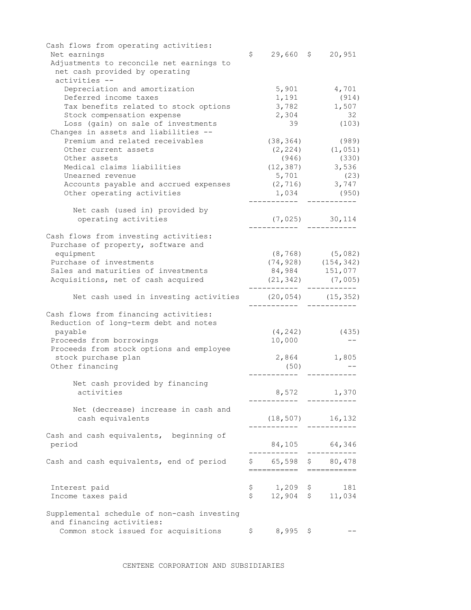| Cash flows from operating activities:<br>Net earnings                      | \$                       |   | $29,660 \quad $20,951$   |
|----------------------------------------------------------------------------|--------------------------|---|--------------------------|
| Adjustments to reconcile net earnings to<br>net cash provided by operating |                          |   |                          |
| activities --                                                              |                          |   |                          |
| Depreciation and amortization                                              | 5,901                    |   | 4,701                    |
| Deferred income taxes                                                      | 1,191                    |   | (914)                    |
| Tax benefits related to stock options                                      | 3,782                    |   | 1,507                    |
| Stock compensation expense                                                 | 2,304                    |   | 32                       |
| Loss (gain) on sale of investments                                         | 39                       |   | (103)                    |
| Changes in assets and liabilities --                                       |                          |   |                          |
| Premium and related receivables                                            | (38, 364)                |   | (989)                    |
| Other current assets                                                       |                          |   | $(2, 224)$ $(1, 051)$    |
| Other assets                                                               | (946)                    |   | (330)                    |
| Medical claims liabilities<br>Unearned revenue                             |                          |   | $(12, 387)$ 3,536        |
| Accounts payable and accrued expenses                                      | 5,701<br>(2, 716)        |   | (23)                     |
| Other operating activities                                                 | 1,034                    |   | $3,747$<br>(950)         |
|                                                                            |                          |   |                          |
| Net cash (used in) provided by                                             |                          |   |                          |
| operating activities                                                       |                          |   | $(7, 025)$ 30, 114       |
|                                                                            |                          |   |                          |
| Cash flows from investing activities:                                      |                          |   |                          |
| Purchase of property, software and                                         |                          |   |                          |
| equipment                                                                  |                          |   | $(8, 768)$ $(5, 082)$    |
| Purchase of investments                                                    |                          |   | $(74, 928)$ $(154, 342)$ |
| Sales and maturities of investments                                        |                          |   | 84,984 151,077           |
| Acquisitions, net of cash acquired                                         | ------- ---------        |   | $(21, 342)$ $(7, 005)$   |
| Net cash used in investing activities                                      |                          |   | $(20, 054)$ $(15, 352)$  |
| Cash flows from financing activities:                                      |                          |   |                          |
| Reduction of long-term debt and notes                                      |                          |   |                          |
| payable                                                                    | (4, 242)                 |   | (435)                    |
| Proceeds from borrowings                                                   | 10,000                   |   |                          |
| Proceeds from stock options and employee                                   |                          |   |                          |
| stock purchase plan                                                        | 2,864                    |   | 1,805                    |
| Other financing                                                            | (50)                     |   |                          |
| Net cash provided by financing                                             |                          |   |                          |
| activities                                                                 |                          |   | 8,572 1,370              |
|                                                                            |                          |   |                          |
| Net (decrease) increase in cash and                                        |                          |   |                          |
| cash equivalents                                                           | (18, 507)                |   | 16,132                   |
|                                                                            |                          |   |                          |
| Cash and cash equivalents, beginning of                                    |                          |   |                          |
| period                                                                     |                          |   | 84,105 64,346            |
| Cash and cash equivalents, end of period                                   | \$65,598\$80,478         |   |                          |
|                                                                            | ===========              |   | $=$ ===========          |
| Interest paid                                                              | \$<br>$1,209$ \$         |   | 181                      |
| Income taxes paid                                                          | \$<br>$12,904$ \$ 11,034 |   |                          |
|                                                                            |                          |   |                          |
| Supplemental schedule of non-cash investing                                |                          |   |                          |
| and financing activities:<br>Common stock issued for acquisitions          | \$<br>8,995              | Ş |                          |
|                                                                            |                          |   |                          |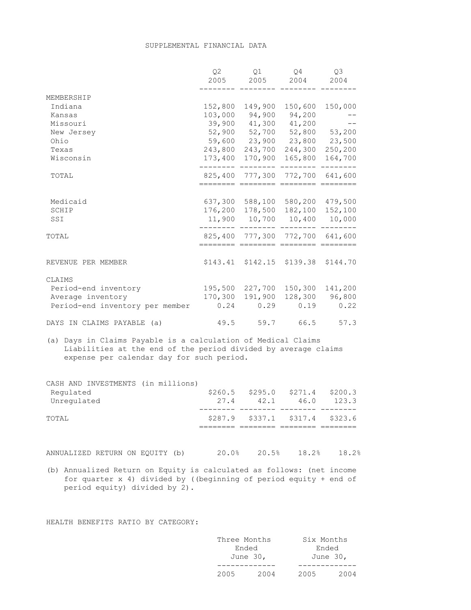#### SUPPLEMENTAL FINANCIAL DATA

|                                                                                                                                                                              | Q2<br>2005 | Q1<br>2005                                                           | Q4<br>2004                 | Q3<br>2004 |
|------------------------------------------------------------------------------------------------------------------------------------------------------------------------------|------------|----------------------------------------------------------------------|----------------------------|------------|
| MEMBERSHIP                                                                                                                                                                   |            |                                                                      |                            |            |
| Indiana                                                                                                                                                                      | 152,800    | 149,900                                                              | 150,600                    | 150,000    |
| Kansas                                                                                                                                                                       |            | 103,000 94,900 94,200                                                |                            |            |
| Missouri                                                                                                                                                                     |            | 39,900 41,300 41,200                                                 |                            |            |
| New Jersey                                                                                                                                                                   |            | 52,900 52,700 52,800 53,200                                          |                            |            |
| Ohio                                                                                                                                                                         |            | 59,600 23,900 23,800 23,500                                          |                            |            |
| Texas                                                                                                                                                                        | 243,800    |                                                                      | 243,700 244,300            | 250,200    |
| Wisconsin                                                                                                                                                                    |            | 173,400 170,900                                                      | 165,800                    | 164,700    |
| TOTAL                                                                                                                                                                        |            | 825,400 777,300 772,700 641,600<br>======== ======= ======== ======= |                            |            |
|                                                                                                                                                                              |            |                                                                      |                            |            |
| Medicaid                                                                                                                                                                     |            | 637,300 588,100 580,200 479,500                                      |                            |            |
| SCHIP                                                                                                                                                                        |            | 176,200 178,500 182,100                                              |                            | 152,100    |
| SSI                                                                                                                                                                          |            | 11,900 10,700 10,400 10,000                                          |                            |            |
| TOTAL                                                                                                                                                                        |            | 825,400 777,300 772,700 641,600                                      |                            |            |
|                                                                                                                                                                              |            | ======== ======== ======== =====                                     |                            |            |
| REVENUE PER MEMBER                                                                                                                                                           | \$143.41   |                                                                      | \$142.15 \$139.38 \$144.70 |            |
| CLAIMS                                                                                                                                                                       |            |                                                                      |                            |            |
| Period-end inventory                                                                                                                                                         |            | 195,500 227,700                                                      | 150, 300                   | 141,200    |
| Average inventory                                                                                                                                                            | 170,300    | 191,900                                                              | 128,300                    | 96,800     |
| Period-end inventory per member                                                                                                                                              |            | $0.24$ $0.29$                                                        | 0.19                       | 0.22       |
| DAYS IN CLAIMS PAYABLE (a)                                                                                                                                                   |            | 49.5 59.7 66.5                                                       |                            | 57.3       |
| (a) Days in Claims Payable is a calculation of Medical Claims<br>Liabilities at the end of the period divided by average claims<br>expense per calendar day for such period. |            |                                                                      |                            |            |

| CASH AND INVESTMENTS (in millions) |      |                                     |      |         |
|------------------------------------|------|-------------------------------------|------|---------|
| Requlated                          |      | $$260.5$ $$295.0$ $$271.4$          |      | \$200.3 |
| Unregulated                        | 27.4 | 42.1                                | 46.0 | 123.3   |
| TOTAL                              |      | $$287.9$ $$337.1$ $$317.4$ $$323.6$ |      |         |
|                                    |      |                                     |      |         |

ANNUALIZED RETURN ON EQUITY (b) 20.0% 20.5% 18.2% 18.2%

(b) Annualized Return on Equity is calculated as follows: (net income for quarter x 4) divided by ((beginning of period equity + end of period equity) divided by 2).

HEALTH BENEFITS RATIO BY CATEGORY:

| Three Months |          | Six Months |          |
|--------------|----------|------------|----------|
| Ended        |          | Ended      |          |
|              | June 30, |            | June 30, |
|              |          |            |          |
| 2005         | 2004     | 2005       | 2004     |